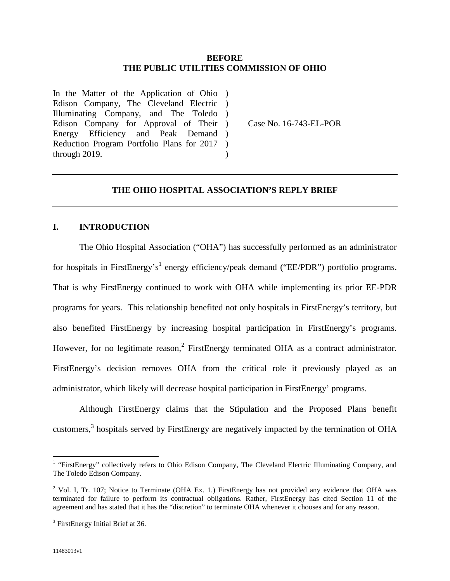## **BEFORE THE PUBLIC UTILITIES COMMISSION OF OHIO**

In the Matter of the Application of Ohio ) Edison Company, The Cleveland Electric ) Illuminating Company, and The Toledo ) Edison Company for Approval of Their ) Energy Efficiency and Peak Demand) Reduction Program Portfolio Plans for 2017 through 2019.  $\lambda$ )

Case No. 16-743-EL-POR

# **THE OHIO HOSPITAL ASSOCIATION'S REPLY BRIEF**

## **I. INTRODUCTION**

The Ohio Hospital Association ("OHA") has successfully performed as an administrator for hospitals in FirstEnergy's<sup>1</sup> energy efficiency/peak demand ("EE/PDR") portfolio programs. That is why FirstEnergy continued to work with OHA while implementing its prior EE-PDR programs for years. This relationship benefited not only hospitals in FirstEnergy's territory, but also benefited FirstEnergy by increasing hospital participation in FirstEnergy's programs. However, for no legitimate reason,<sup>2</sup> FirstEnergy terminated OHA as a contract administrator. FirstEnergy's decision removes OHA from the critical role it previously played as an administrator, which likely will decrease hospital participation in FirstEnergy' programs.

Although FirstEnergy claims that the Stipulation and the Proposed Plans benefit customers,<sup>3</sup> hospitals served by FirstEnergy are negatively impacted by the termination of OHA

<sup>&</sup>lt;sup>1</sup> "FirstEnergy" collectively refers to Ohio Edison Company, The Cleveland Electric Illuminating Company, and The Toledo Edison Company.

<sup>&</sup>lt;sup>2</sup> Vol. I, Tr. 107; Notice to Terminate (OHA Ex. 1.) FirstEnergy has not provided any evidence that OHA was terminated for failure to perform its contractual obligations. Rather, FirstEnergy has cited Section 11 of the agreement and has stated that it has the "discretion" to terminate OHA whenever it chooses and for any reason.

<sup>&</sup>lt;sup>3</sup> FirstEnergy Initial Brief at 36.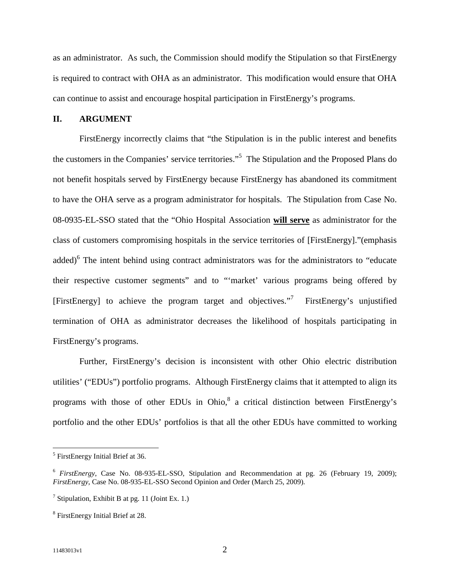as an administrator. As such, the Commission should modify the Stipulation so that FirstEnergy is required to contract with OHA as an administrator. This modification would ensure that OHA can continue to assist and encourage hospital participation in FirstEnergy's programs.

#### **II. ARGUMENT**

FirstEnergy incorrectly claims that "the Stipulation is in the public interest and benefits the customers in the Companies' service territories."<sup>5</sup> The Stipulation and the Proposed Plans do not benefit hospitals served by FirstEnergy because FirstEnergy has abandoned its commitment to have the OHA serve as a program administrator for hospitals. The Stipulation from Case No. 08-0935-EL-SSO stated that the "Ohio Hospital Association **will serve** as administrator for the class of customers compromising hospitals in the service territories of [FirstEnergy]."(emphasis added)<sup>6</sup> The intent behind using contract administrators was for the administrators to "educate their respective customer segments" and to "'market' various programs being offered by [FirstEnergy] to achieve the program target and objectives."<sup>7</sup> FirstEnergy's unjustified termination of OHA as administrator decreases the likelihood of hospitals participating in FirstEnergy's programs.

Further, FirstEnergy's decision is inconsistent with other Ohio electric distribution utilities' ("EDUs") portfolio programs. Although FirstEnergy claims that it attempted to align its programs with those of other EDUs in Ohio, $8$  a critical distinction between FirstEnergy's portfolio and the other EDUs' portfolios is that all the other EDUs have committed to working

<sup>&</sup>lt;sup>5</sup> FirstEnergy Initial Brief at 36.

<sup>6</sup> *FirstEnergy*, Case No. 08-935-EL-SSO, Stipulation and Recommendation at pg. 26 (February 19, 2009); *FirstEnergy*, Case No. 08-935-EL-SSO Second Opinion and Order (March 25, 2009).

<sup>&</sup>lt;sup>7</sup> Stipulation, Exhibit B at pg. 11 (Joint Ex. 1.)

<sup>&</sup>lt;sup>8</sup> FirstEnergy Initial Brief at 28.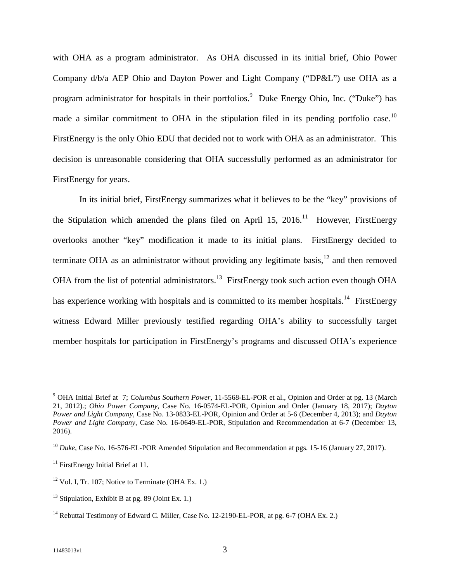with OHA as a program administrator. As OHA discussed in its initial brief, Ohio Power Company d/b/a AEP Ohio and Dayton Power and Light Company ("DP&L") use OHA as a program administrator for hospitals in their portfolios.<sup>9</sup> Duke Energy Ohio, Inc. ("Duke") has made a similar commitment to OHA in the stipulation filed in its pending portfolio case.<sup>10</sup> FirstEnergy is the only Ohio EDU that decided not to work with OHA as an administrator. This decision is unreasonable considering that OHA successfully performed as an administrator for FirstEnergy for years.

In its initial brief, FirstEnergy summarizes what it believes to be the "key" provisions of the Stipulation which amended the plans filed on April 15, 2016.<sup>11</sup> However, FirstEnergy overlooks another "key" modification it made to its initial plans. FirstEnergy decided to terminate OHA as an administrator without providing any legitimate basis,<sup>12</sup> and then removed OHA from the list of potential administrators.<sup>13</sup> FirstEnergy took such action even though OHA has experience working with hospitals and is committed to its member hospitals.<sup>14</sup> FirstEnergy witness Edward Miller previously testified regarding OHA's ability to successfully target member hospitals for participation in FirstEnergy's programs and discussed OHA's experience

<sup>9</sup> OHA Initial Brief at 7; *Columbus Southern Power*, 11-5568-EL-POR et al., Opinion and Order at pg. 13 (March 21, 2012).; *Ohio Power Company*, Case No. 16-0574-EL-POR, Opinion and Order (January 18, 2017); *Dayton Power and Light Company*, Case No. 13-0833-EL-POR, Opinion and Order at 5-6 (December 4, 2013); and *Dayton Power and Light Company*, Case No. 16-0649-EL-POR, Stipulation and Recommendation at 6-7 (December 13, 2016).

<sup>&</sup>lt;sup>10</sup> *Duke*, Case No. 16-576-EL-POR Amended Stipulation and Recommendation at pgs. 15-16 (January 27, 2017).

 $11$  FirstEnergy Initial Brief at 11.

 $12$  Vol. I, Tr. 107; Notice to Terminate (OHA Ex. 1.)

 $13$  Stipulation, Exhibit B at pg. 89 (Joint Ex. 1.)

<sup>&</sup>lt;sup>14</sup> Rebuttal Testimony of Edward C. Miller, Case No. 12-2190-EL-POR, at pg. 6-7 (OHA Ex. 2.)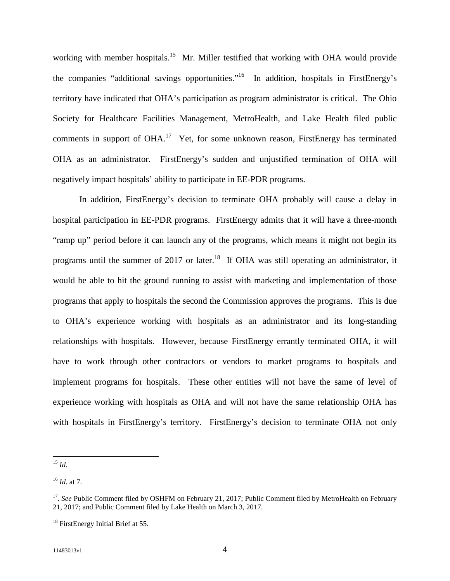working with member hospitals.<sup>15</sup> Mr. Miller testified that working with OHA would provide the companies "additional savings opportunities."<sup>16</sup> In addition, hospitals in FirstEnergy's territory have indicated that OHA's participation as program administrator is critical. The Ohio Society for Healthcare Facilities Management, MetroHealth, and Lake Health filed public comments in support of OHA.<sup>17</sup> Yet, for some unknown reason, FirstEnergy has terminated OHA as an administrator. FirstEnergy's sudden and unjustified termination of OHA will negatively impact hospitals' ability to participate in EE-PDR programs.

In addition, FirstEnergy's decision to terminate OHA probably will cause a delay in hospital participation in EE-PDR programs. FirstEnergy admits that it will have a three-month "ramp up" period before it can launch any of the programs, which means it might not begin its programs until the summer of 2017 or later.<sup>18</sup> If OHA was still operating an administrator, it would be able to hit the ground running to assist with marketing and implementation of those programs that apply to hospitals the second the Commission approves the programs. This is due to OHA's experience working with hospitals as an administrator and its long-standing relationships with hospitals. However, because FirstEnergy errantly terminated OHA, it will have to work through other contractors or vendors to market programs to hospitals and implement programs for hospitals. These other entities will not have the same of level of experience working with hospitals as OHA and will not have the same relationship OHA has with hospitals in FirstEnergy's territory. FirstEnergy's decision to terminate OHA not only

<sup>15</sup> *Id.*

<sup>16</sup> *Id.* at 7.

<sup>&</sup>lt;sup>17</sup>. See Public Comment filed by OSHFM on February 21, 2017; Public Comment filed by MetroHealth on February 21, 2017; and Public Comment filed by Lake Health on March 3, 2017.

<sup>&</sup>lt;sup>18</sup> FirstEnergy Initial Brief at 55.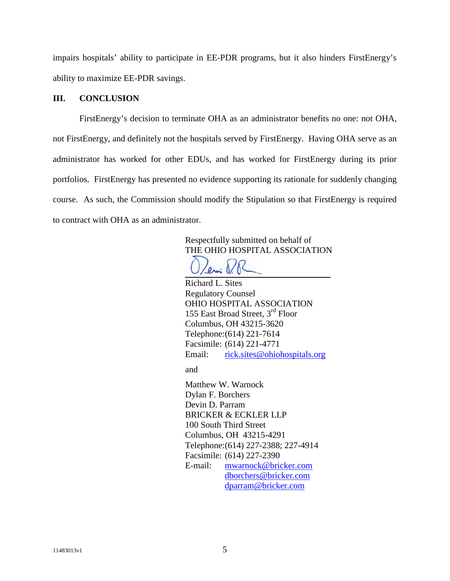impairs hospitals' ability to participate in EE-PDR programs, but it also hinders FirstEnergy's ability to maximize EE-PDR savings.

# **III. CONCLUSION**

FirstEnergy's decision to terminate OHA as an administrator benefits no one: not OHA, not FirstEnergy, and definitely not the hospitals served by FirstEnergy. Having OHA serve as an administrator has worked for other EDUs, and has worked for FirstEnergy during its prior portfolios. FirstEnergy has presented no evidence supporting its rationale for suddenly changing course. As such, the Commission should modify the Stipulation so that FirstEnergy is required to contract with OHA as an administrator.

> Respectfully submitted on behalf of THE OHIO HOSPITAL ASSOCIATION

Richard L. Sites Regulatory Counsel OHIO HOSPITAL ASSOCIATION 155 East Broad Street, 3rd Floor Columbus, OH 43215-3620 Telephone:(614) 221-7614 Facsimile: (614) 221-4771 Email: rick.sites@ohiohospitals.org

and

Matthew W. Warnock Dylan F. Borchers Devin D. Parram BRICKER & ECKLER LLP 100 South Third Street Columbus, OH 43215-4291 Telephone:(614) 227-2388; 227-4914 Facsimile: (614) 227-2390 E-mail: mwarnock@bricker.com dborchers@bricker.com dparram@bricker.com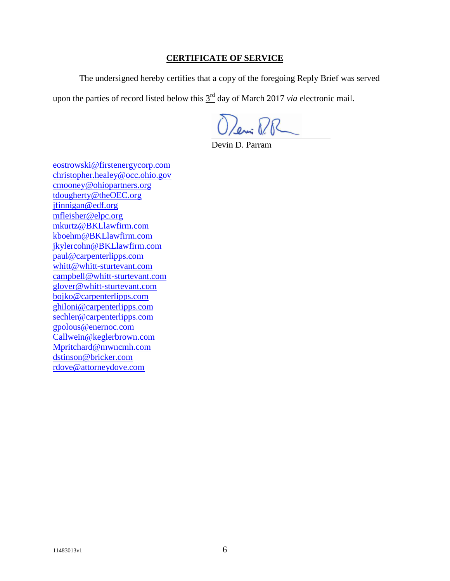# **CERTIFICATE OF SERVICE**

The undersigned hereby certifies that a copy of the foregoing Reply Brief was served

upon the parties of record listed below this  $3<sup>rd</sup>$  day of March 2017 *via* electronic mail.

Oleni P.R

Devin D. Parram

eostrowski@firstenergycorp.com christopher.healey@occ.ohio.gov cmooney@ohiopartners.org tdougherty@theOEC.org jfinnigan@edf.org mfleisher@elpc.org mkurtz@BKLlawfirm.com kboehm@BKLlawfirm.com jkylercohn@BKLlawfirm.com paul@carpenterlipps.com whitt@whitt-sturtevant.com campbell@whitt-sturtevant.com glover@whitt-sturtevant.com bojko@carpenterlipps.com ghiloni@carpenterlipps.com sechler@carpenterlipps.com gpolous@enernoc.com Callwein@keglerbrown.com Mpritchard@mwncmh.com dstinson@bricker.com rdove@attorneydove.com